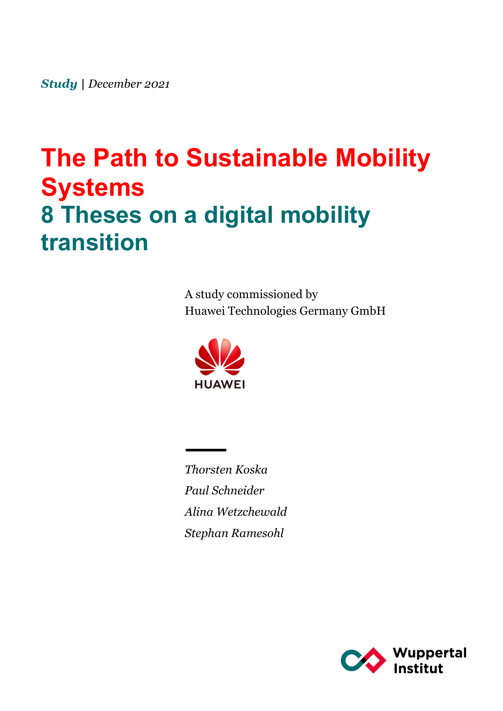*Study | December 2021*

# **The Path to Sustainable Mobility Systems 8 Theses on a digital mobility transition**

A study commissioned by Huawei Technologies Germany GmbH



*Thorsten Koska Paul Schneider Alina Wetzchewald Stephan Ramesohl*

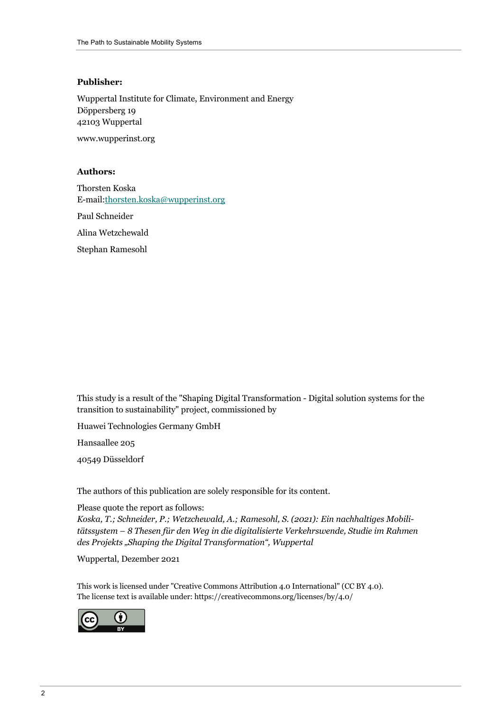#### **Publisher:**

Wuppertal Institute for Climate, Environment and Energy Döppersberg 19 42103 Wuppertal www.wupperinst.org

**Authors:**

Thorsten Koska E-mail:thorsten.koska@wupperinst.org

Paul Schneider

Alina Wetzchewald

Stephan Ramesohl

This study is a result of the "Shaping Digital Transformation - Digital solution systems for the transition to sustainability" project, commissioned by

Huawei Technologies Germany GmbH

Hansaallee 205

40549 Düsseldorf

The authors of this publication are solely responsible for its content.

#### Please quote the report as follows:

*Koska, T.; Schneider, P.; Wetzchewald, A.; Ramesohl, S. (2021): Ein nachhaltiges Mobilitätssystem – 8 Thesen für den Weg in die digitalisierte Verkehrswende, Studie im Rahmen des Projekts "Shaping the Digital Transformation", Wuppertal*

Wuppertal, Dezember 2021

This work is licensed under "Creative Commons Attribution 4.0 International" (CC BY 4.0). The license text is available under: https://creativecommons.org/licenses/by/4.0/

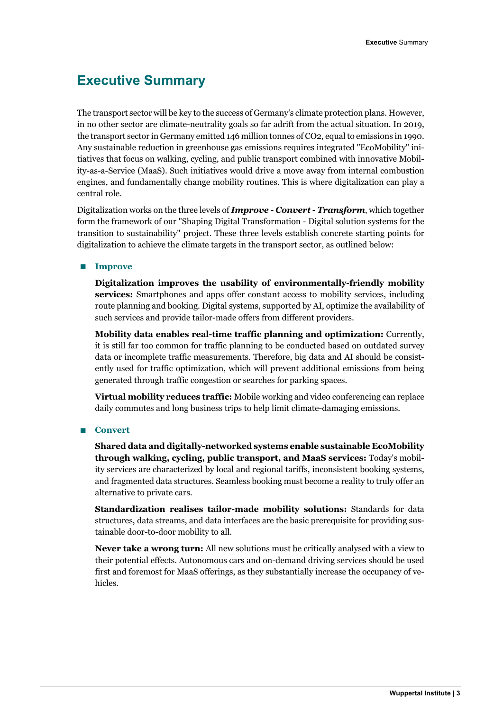### **Executive Summary**

The transport sector will be key to the success of Germany's climate protection plans. However, in no other sector are climate-neutrality goals so far adrift from the actual situation. In 2019, the transport sector in Germany emitted 146 million tonnes of CO2, equal to emissions in 1990. Any sustainable reduction in greenhouse gas emissions requires integrated "EcoMobility" initiatives that focus on walking, cycling, and public transport combined with innovative Mobility-as-a-Service (MaaS). Such initiatives would drive a move away from internal combustion engines, and fundamentally change mobility routines. This is where digitalization can play a central role.

Digitalization works on the three levels of *Improve - Convert - Transform*, which together form the framework of our "Shaping Digital Transformation - Digital solution systems for the transition to sustainability" project. These three levels establish concrete starting points for digitalization to achieve the climate targets in the transport sector, as outlined below:

#### **n Improve**

**Digitalization improves the usability of environmentally-friendly mobility services:** Smartphones and apps offer constant access to mobility services, including route planning and booking. Digital systems, supported by AI, optimize the availability of such services and provide tailor-made offers from different providers.

**Mobility data enables real-time traffic planning and optimization:** Currently, it is still far too common for traffic planning to be conducted based on outdated survey data or incomplete traffic measurements. Therefore, big data and AI should be consistently used for traffic optimization, which will prevent additional emissions from being generated through traffic congestion or searches for parking spaces.

**Virtual mobility reduces traffic:** Mobile working and video conferencing can replace daily commutes and long business trips to help limit climate-damaging emissions.

#### ■ **Convert**

**Shared data and digitally-networked systems enable sustainable EcoMobility through walking, cycling, public transport, and MaaS services:** Today's mobility services are characterized by local and regional tariffs, inconsistent booking systems, and fragmented data structures. Seamless booking must become a reality to truly offer an alternative to private cars.

**Standardization realises tailor-made mobility solutions:** Standards for data structures, data streams, and data interfaces are the basic prerequisite for providing sustainable door-to-door mobility to all.

**Never take a wrong turn:** All new solutions must be critically analysed with a view to their potential effects. Autonomous cars and on-demand driving services should be used first and foremost for MaaS offerings, as they substantially increase the occupancy of vehicles.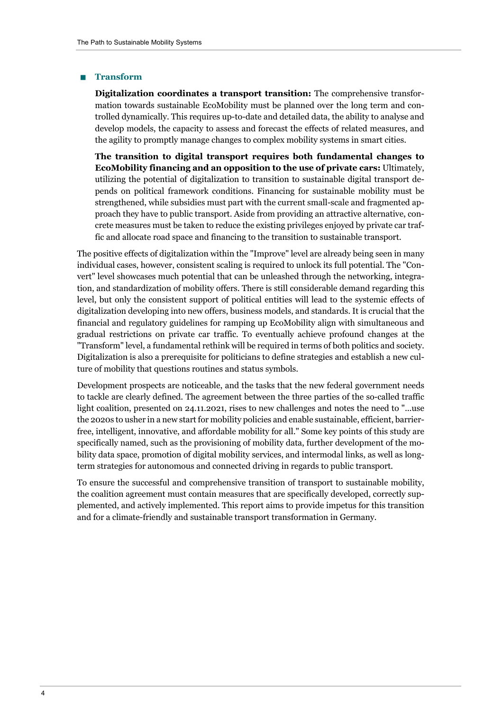#### n **Transform**

**Digitalization coordinates a transport transition:** The comprehensive transformation towards sustainable EcoMobility must be planned over the long term and controlled dynamically. This requires up-to-date and detailed data, the ability to analyse and develop models, the capacity to assess and forecast the effects of related measures, and the agility to promptly manage changes to complex mobility systems in smart cities.

**The transition to digital transport requires both fundamental changes to EcoMobility financing and an opposition to the use of private cars:** Ultimately, utilizing the potential of digitalization to transition to sustainable digital transport depends on political framework conditions. Financing for sustainable mobility must be strengthened, while subsidies must part with the current small-scale and fragmented approach they have to public transport. Aside from providing an attractive alternative, concrete measures must be taken to reduce the existing privileges enjoyed by private car traffic and allocate road space and financing to the transition to sustainable transport.

The positive effects of digitalization within the "Improve" level are already being seen in many individual cases, however, consistent scaling is required to unlock its full potential. The "Convert" level showcases much potential that can be unleashed through the networking, integration, and standardization of mobility offers. There is still considerable demand regarding this level, but only the consistent support of political entities will lead to the systemic effects of digitalization developing into new offers, business models, and standards. It is crucial that the financial and regulatory guidelines for ramping up EcoMobility align with simultaneous and gradual restrictions on private car traffic. To eventually achieve profound changes at the "Transform" level, a fundamental rethink will be required in terms of both politics and society. Digitalization is also a prerequisite for politicians to define strategies and establish a new culture of mobility that questions routines and status symbols.

Development prospects are noticeable, and the tasks that the new federal government needs to tackle are clearly defined. The agreement between the three parties of the so-called traffic light coalition, presented on 24.11.2021, rises to new challenges and notes the need to "...use the 2020s to usher in a new start for mobility policies and enable sustainable, efficient, barrierfree, intelligent, innovative, and affordable mobility for all." Some key points of this study are specifically named, such as the provisioning of mobility data, further development of the mobility data space, promotion of digital mobility services, and intermodal links, as well as longterm strategies for autonomous and connected driving in regards to public transport.

To ensure the successful and comprehensive transition of transport to sustainable mobility, the coalition agreement must contain measures that are specifically developed, correctly supplemented, and actively implemented. This report aims to provide impetus for this transition and for a climate-friendly and sustainable transport transformation in Germany.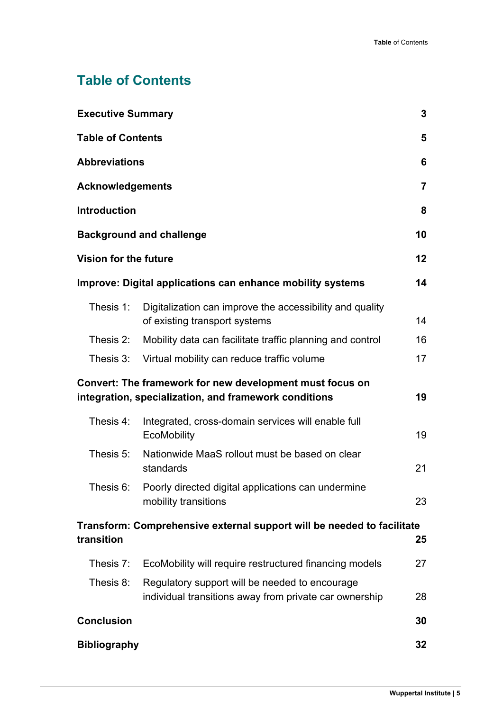# **Table of Contents**

| 3<br><b>Executive Summary</b>                                                                                           |                                                                                                          |    |  |
|-------------------------------------------------------------------------------------------------------------------------|----------------------------------------------------------------------------------------------------------|----|--|
| <b>Table of Contents</b><br>5                                                                                           |                                                                                                          |    |  |
| <b>Abbreviations</b><br>6                                                                                               |                                                                                                          |    |  |
| <b>Acknowledgements</b><br>$\overline{7}$                                                                               |                                                                                                          |    |  |
| <b>Introduction</b><br>8                                                                                                |                                                                                                          |    |  |
| 10<br><b>Background and challenge</b>                                                                                   |                                                                                                          |    |  |
| 12<br>Vision for the future                                                                                             |                                                                                                          |    |  |
|                                                                                                                         | Improve: Digital applications can enhance mobility systems                                               | 14 |  |
| Thesis 1:                                                                                                               | Digitalization can improve the accessibility and quality<br>of existing transport systems                | 14 |  |
| Thesis 2:                                                                                                               | Mobility data can facilitate traffic planning and control                                                | 16 |  |
| Thesis 3:                                                                                                               | Virtual mobility can reduce traffic volume                                                               | 17 |  |
| Convert: The framework for new development must focus on<br>19<br>integration, specialization, and framework conditions |                                                                                                          |    |  |
| Thesis 4:                                                                                                               | Integrated, cross-domain services will enable full<br>EcoMobility                                        | 19 |  |
| Thesis 5:                                                                                                               | Nationwide MaaS rollout must be based on clear<br>standards                                              | 21 |  |
|                                                                                                                         | Thesis 6: Poorly directed digital applications can undermine<br>mobility transitions                     | 23 |  |
| Transform: Comprehensive external support will be needed to facilitate<br>transition<br>25                              |                                                                                                          |    |  |
| Thesis 7:                                                                                                               | EcoMobility will require restructured financing models                                                   | 27 |  |
| Thesis 8:                                                                                                               | Regulatory support will be needed to encourage<br>individual transitions away from private car ownership | 28 |  |
| <b>Conclusion</b>                                                                                                       |                                                                                                          | 30 |  |
| <b>Bibliography</b><br>32                                                                                               |                                                                                                          |    |  |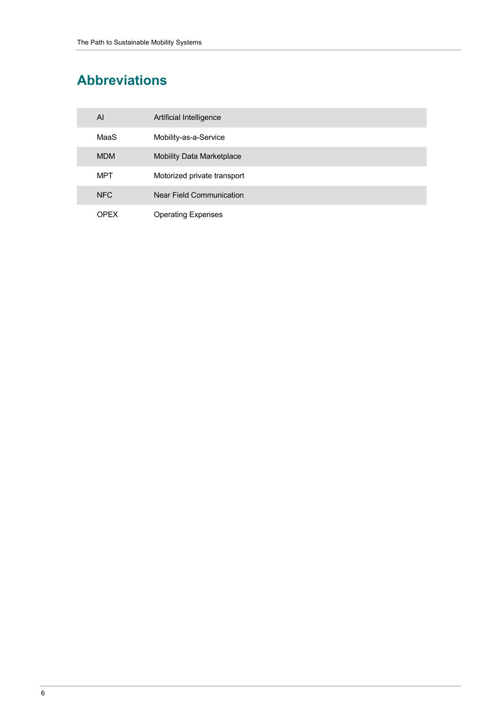# **Abbreviations**

| AI         | Artificial Intelligence          |
|------------|----------------------------------|
| MaaS       | Mobility-as-a-Service            |
| <b>MDM</b> | <b>Mobility Data Marketplace</b> |
| MPT        | Motorized private transport      |
| <b>NFC</b> | Near Field Communication         |
| OPFX       | <b>Operating Expenses</b>        |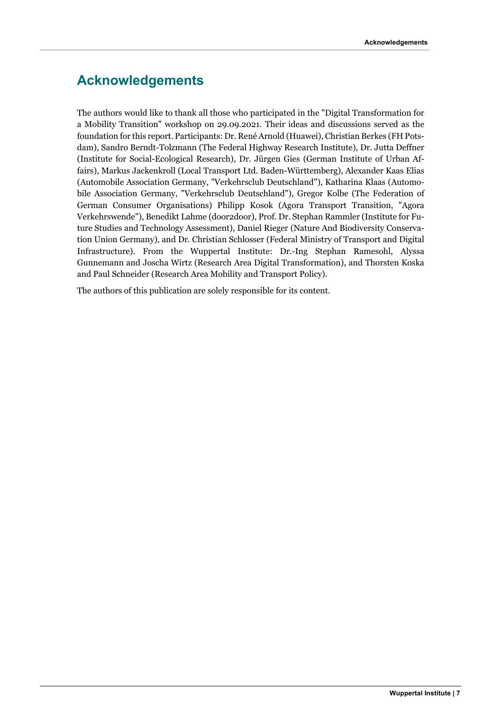### **Acknowledgements**

The authors would like to thank all those who participated in the "Digital Transformation for a Mobility Transition" workshop on 29.09.2021. Their ideas and discussions served as the foundation for this report. Participants: Dr. René Arnold (Huawei), Christian Berkes (FH Potsdam), Sandro Berndt-Tolzmann (The Federal Highway Research Institute), Dr. Jutta Deffner (Institute for Social-Ecological Research), Dr. Jürgen Gies (German Institute of Urban Affairs), Markus Jackenkroll (Local Transport Ltd. Baden-Württemberg), Alexander Kaas Elias (Automobile Association Germany, "Verkehrsclub Deutschland"), Katharina Klaas (Automobile Association Germany, "Verkehrsclub Deutschland"), Gregor Kolbe (The Federation of German Consumer Organisations) Philipp Kosok (Agora Transport Transition, "Agora Verkehrswende"), Benedikt Lahme (door2door), Prof. Dr. Stephan Rammler (Institute for Future Studies and Technology Assessment), Daniel Rieger (Nature And Biodiversity Conservation Union Germany), and Dr. Christian Schlosser (Federal Ministry of Transport and Digital Infrastructure). From the Wuppertal Institute: Dr.-Ing Stephan Ramesohl, Alyssa Gunnemann and Joscha Wirtz (Research Area Digital Transformation), and Thorsten Koska and Paul Schneider (Research Area Mobility and Transport Policy).

The authors of this publication are solely responsible for its content.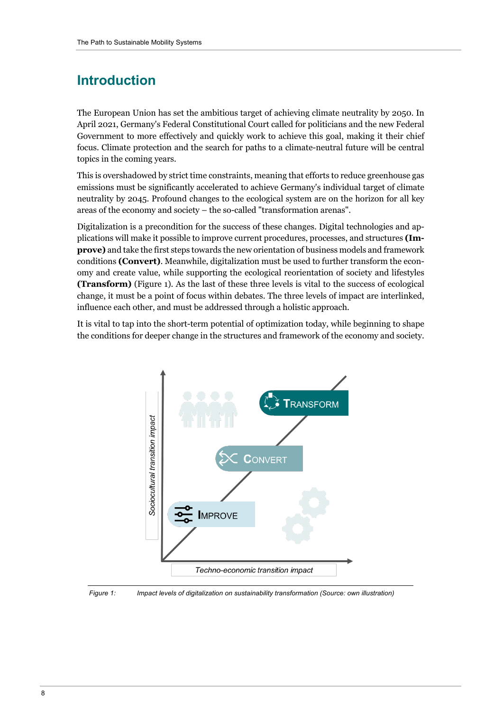# **Introduction**

The European Union has set the ambitious target of achieving climate neutrality by 2050. In April 2021, Germany's Federal Constitutional Court called for politicians and the new Federal Government to more effectively and quickly work to achieve this goal, making it their chief focus. Climate protection and the search for paths to a climate-neutral future will be central topics in the coming years.

This is overshadowed by strict time constraints, meaning that efforts to reduce greenhouse gas emissions must be significantly accelerated to achieve Germany's individual target of climate neutrality by 2045. Profound changes to the ecological system are on the horizon for all key areas of the economy and society – the so-called "transformation arenas".

Digitalization is a precondition for the success of these changes. Digital technologies and applications will make it possible to improve current procedures, processes, and structures **(Improve)** and take the first steps towards the new orientation of business models and framework conditions **(Convert)**. Meanwhile, digitalization must be used to further transform the economy and create value, while supporting the ecological reorientation of society and lifestyles **(Transform)** (Figure 1). As the last of these three levels is vital to the success of ecological change, it must be a point of focus within debates. The three levels of impact are interlinked, influence each other, and must be addressed through a holistic approach.

It is vital to tap into the short-term potential of optimization today, while beginning to shape the conditions for deeper change in the structures and framework of the economy and society.



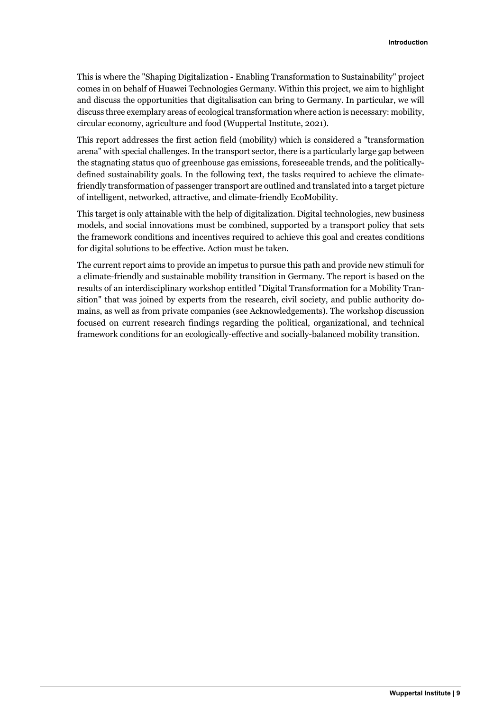This is where the "Shaping Digitalization - Enabling Transformation to Sustainability" project comes in on behalf of Huawei Technologies Germany. Within this project, we aim to highlight and discuss the opportunities that digitalisation can bring to Germany. In particular, we will discuss three exemplary areas of ecological transformation where action is necessary: mobility, circular economy, agriculture and food (Wuppertal Institute, 2021).

This report addresses the first action field (mobility) which is considered a "transformation arena" with special challenges. In the transport sector, there is a particularly large gap between the stagnating status quo of greenhouse gas emissions, foreseeable trends, and the politicallydefined sustainability goals. In the following text, the tasks required to achieve the climatefriendly transformation of passenger transport are outlined and translated into a target picture of intelligent, networked, attractive, and climate-friendly EcoMobility.

This target is only attainable with the help of digitalization. Digital technologies, new business models, and social innovations must be combined, supported by a transport policy that sets the framework conditions and incentives required to achieve this goal and creates conditions for digital solutions to be effective. Action must be taken.

The current report aims to provide an impetus to pursue this path and provide new stimuli for a climate-friendly and sustainable mobility transition in Germany. The report is based on the results of an interdisciplinary workshop entitled "Digital Transformation for a Mobility Transition" that was joined by experts from the research, civil society, and public authority domains, as well as from private companies (see Acknowledgements). The workshop discussion focused on current research findings regarding the political, organizational, and technical framework conditions for an ecologically-effective and socially-balanced mobility transition.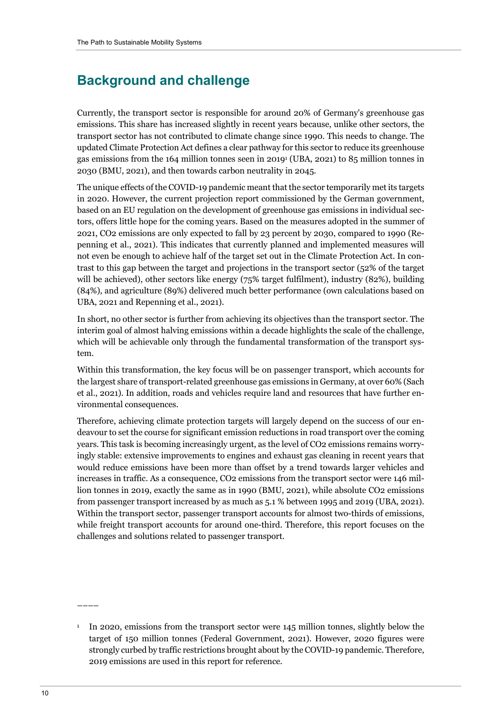## **Background and challenge**

Currently, the transport sector is responsible for around 20% of Germany's greenhouse gas emissions. This share has increased slightly in recent years because, unlike other sectors, the transport sector has not contributed to climate change since 1990. This needs to change. The updated Climate Protection Act defines a clear pathway for this sector to reduce its greenhouse gas emissions from the 164 million tonnes seen in 20191 (UBA, 2021) to 85 million tonnes in 2030 (BMU, 2021), and then towards carbon neutrality in 2045.

The unique effects of the COVID-19 pandemic meant that the sector temporarily met its targets in 2020. However, the current projection report commissioned by the German government, based on an EU regulation on the development of greenhouse gas emissions in individual sectors, offers little hope for the coming years. Based on the measures adopted in the summer of 2021, CO2 emissions are only expected to fall by 23 percent by 2030, compared to 1990 (Repenning et al., 2021). This indicates that currently planned and implemented measures will not even be enough to achieve half of the target set out in the Climate Protection Act. In contrast to this gap between the target and projections in the transport sector (52% of the target will be achieved), other sectors like energy (75% target fulfilment), industry (82%), building (84%), and agriculture (89%) delivered much better performance (own calculations based on UBA, 2021 and Repenning et al., 2021).

In short, no other sector is further from achieving its objectives than the transport sector. The interim goal of almost halving emissions within a decade highlights the scale of the challenge, which will be achievable only through the fundamental transformation of the transport system.

Within this transformation, the key focus will be on passenger transport, which accounts for the largest share of transport-related greenhouse gas emissions in Germany, at over 60% (Sach et al., 2021). In addition, roads and vehicles require land and resources that have further environmental consequences.

Therefore, achieving climate protection targets will largely depend on the success of our endeavour to set the course for significant emission reductions in road transport over the coming years. This task is becoming increasingly urgent, as the level of CO2 emissions remains worryingly stable: extensive improvements to engines and exhaust gas cleaning in recent years that would reduce emissions have been more than offset by a trend towards larger vehicles and increases in traffic. As a consequence, CO2 emissions from the transport sector were 146 million tonnes in 2019, exactly the same as in 1990 (BMU, 2021), while absolute CO2 emissions from passenger transport increased by as much as 5.1 % between 1995 and 2019 (UBA, 2021). Within the transport sector, passenger transport accounts for almost two-thirds of emissions, while freight transport accounts for around one-third. Therefore, this report focuses on the challenges and solutions related to passenger transport.

––––

<sup>&</sup>lt;sup>1</sup> In 2020, emissions from the transport sector were 145 million tonnes, slightly below the target of 150 million tonnes (Federal Government, 2021). However, 2020 figures were strongly curbed by traffic restrictions brought about by the COVID-19 pandemic. Therefore, 2019 emissions are used in this report for reference.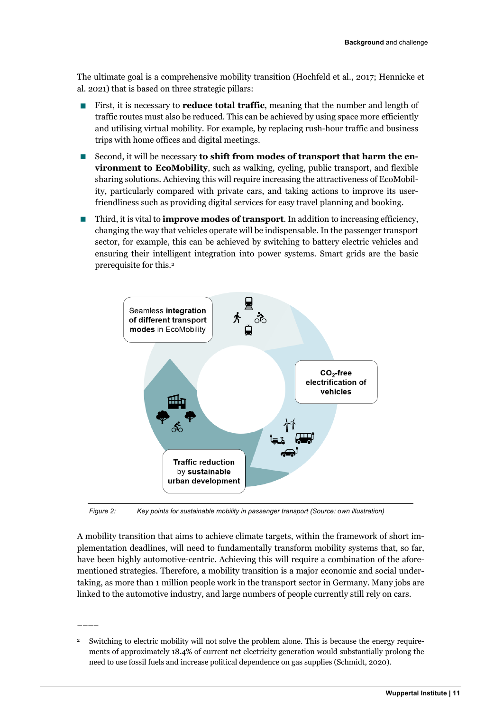The ultimate goal is a comprehensive mobility transition (Hochfeld et al., 2017; Hennicke et al. 2021) that is based on three strategic pillars:

- First, it is necessary to **reduce total traffic**, meaning that the number and length of traffic routes must also be reduced. This can be achieved by using space more efficiently and utilising virtual mobility. For example, by replacing rush-hour traffic and business trips with home offices and digital meetings.
- **n** Second, it will be necessary **to shift from modes of transport that harm the environment to EcoMobility**, such as walking, cycling, public transport, and flexible sharing solutions. Achieving this will require increasing the attractiveness of EcoMobility, particularly compared with private cars, and taking actions to improve its userfriendliness such as providing digital services for easy travel planning and booking.
- n Third, it is vital to **improve modes of transport**. In addition to increasing efficiency, changing the way that vehicles operate will be indispensable. In the passenger transport sector, for example, this can be achieved by switching to battery electric vehicles and ensuring their intelligent integration into power systems. Smart grids are the basic prerequisite for this.2



*Figure 2: Key points for sustainable mobility in passenger transport (Source: own illustration)*

A mobility transition that aims to achieve climate targets, within the framework of short implementation deadlines, will need to fundamentally transform mobility systems that, so far, have been highly automotive-centric. Achieving this will require a combination of the aforementioned strategies. Therefore, a mobility transition is a major economic and social undertaking, as more than 1 million people work in the transport sector in Germany. Many jobs are linked to the automotive industry, and large numbers of people currently still rely on cars.

<sup>2</sup> Switching to electric mobility will not solve the problem alone. This is because the energy requirements of approximately 18.4% of current net electricity generation would substantially prolong the need to use fossil fuels and increase political dependence on gas supplies (Schmidt, 2020).

––––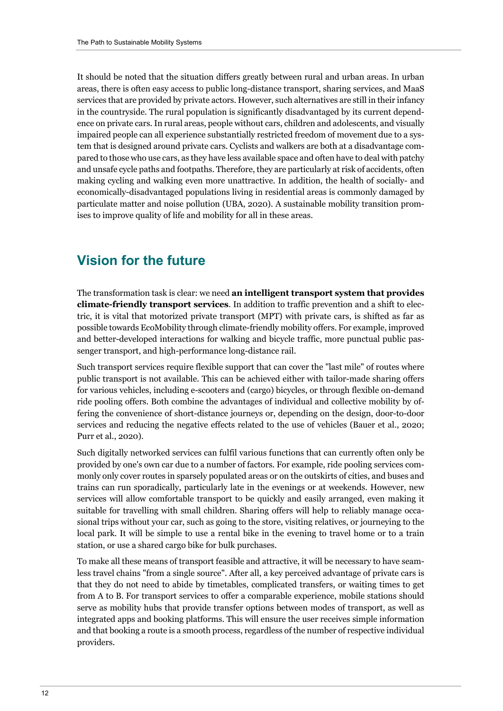It should be noted that the situation differs greatly between rural and urban areas. In urban areas, there is often easy access to public long-distance transport, sharing services, and MaaS services that are provided by private actors. However, such alternatives are still in their infancy in the countryside. The rural population is significantly disadvantaged by its current dependence on private cars. In rural areas, people without cars, children and adolescents, and visually impaired people can all experience substantially restricted freedom of movement due to a system that is designed around private cars. Cyclists and walkers are both at a disadvantage compared to those who use cars, as they have less available space and often have to deal with patchy and unsafe cycle paths and footpaths. Therefore, they are particularly at risk of accidents, often making cycling and walking even more unattractive. In addition, the health of socially- and economically-disadvantaged populations living in residential areas is commonly damaged by particulate matter and noise pollution (UBA, 2020). A sustainable mobility transition promises to improve quality of life and mobility for all in these areas.

### **Vision for the future**

The transformation task is clear: we need **an intelligent transport system that provides climate-friendly transport services**. In addition to traffic prevention and a shift to electric, it is vital that motorized private transport (MPT) with private cars, is shifted as far as possible towards EcoMobility through climate-friendly mobility offers. For example, improved and better-developed interactions for walking and bicycle traffic, more punctual public passenger transport, and high-performance long-distance rail.

Such transport services require flexible support that can cover the "last mile" of routes where public transport is not available. This can be achieved either with tailor-made sharing offers for various vehicles, including e-scooters and (cargo) bicycles, or through flexible on-demand ride pooling offers. Both combine the advantages of individual and collective mobility by offering the convenience of short-distance journeys or, depending on the design, door-to-door services and reducing the negative effects related to the use of vehicles (Bauer et al., 2020; Purr et al., 2020).

Such digitally networked services can fulfil various functions that can currently often only be provided by one's own car due to a number of factors. For example, ride pooling services commonly only cover routes in sparsely populated areas or on the outskirts of cities, and buses and trains can run sporadically, particularly late in the evenings or at weekends. However, new services will allow comfortable transport to be quickly and easily arranged, even making it suitable for travelling with small children. Sharing offers will help to reliably manage occasional trips without your car, such as going to the store, visiting relatives, or journeying to the local park. It will be simple to use a rental bike in the evening to travel home or to a train station, or use a shared cargo bike for bulk purchases.

To make all these means of transport feasible and attractive, it will be necessary to have seamless travel chains "from a single source". After all, a key perceived advantage of private cars is that they do not need to abide by timetables, complicated transfers, or waiting times to get from A to B. For transport services to offer a comparable experience, mobile stations should serve as mobility hubs that provide transfer options between modes of transport, as well as integrated apps and booking platforms. This will ensure the user receives simple information and that booking a route is a smooth process, regardless of the number of respective individual providers.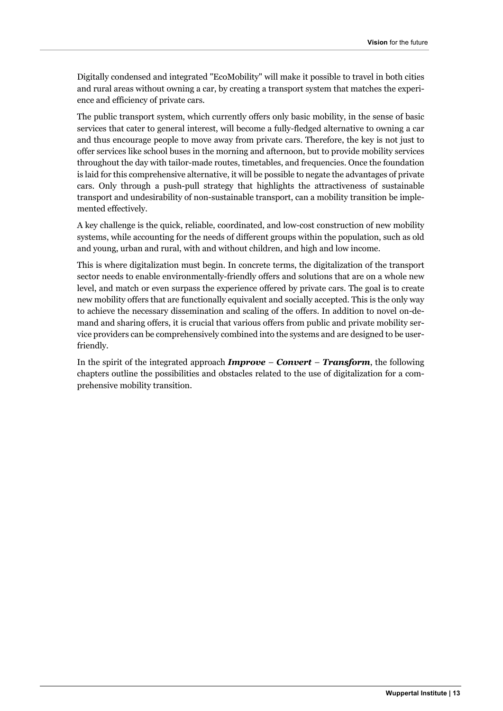Digitally condensed and integrated "EcoMobility" will make it possible to travel in both cities and rural areas without owning a car, by creating a transport system that matches the experience and efficiency of private cars.

The public transport system, which currently offers only basic mobility, in the sense of basic services that cater to general interest, will become a fully-fledged alternative to owning a car and thus encourage people to move away from private cars. Therefore, the key is not just to offer services like school buses in the morning and afternoon, but to provide mobility services throughout the day with tailor-made routes, timetables, and frequencies. Once the foundation is laid for this comprehensive alternative, it will be possible to negate the advantages of private cars. Only through a push-pull strategy that highlights the attractiveness of sustainable transport and undesirability of non-sustainable transport, can a mobility transition be implemented effectively.

A key challenge is the quick, reliable, coordinated, and low-cost construction of new mobility systems, while accounting for the needs of different groups within the population, such as old and young, urban and rural, with and without children, and high and low income.

This is where digitalization must begin. In concrete terms, the digitalization of the transport sector needs to enable environmentally-friendly offers and solutions that are on a whole new level, and match or even surpass the experience offered by private cars. The goal is to create new mobility offers that are functionally equivalent and socially accepted. This is the only way to achieve the necessary dissemination and scaling of the offers. In addition to novel on-demand and sharing offers, it is crucial that various offers from public and private mobility service providers can be comprehensively combined into the systems and are designed to be userfriendly.

In the spirit of the integrated approach *Improve – Convert – Transform*, the following chapters outline the possibilities and obstacles related to the use of digitalization for a comprehensive mobility transition.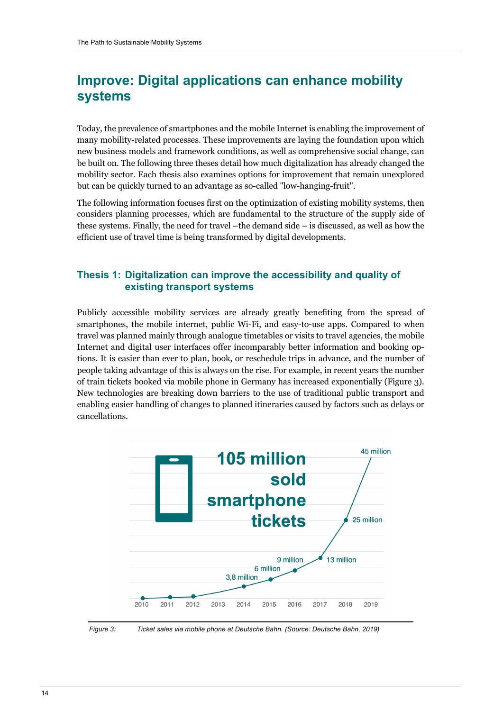# **Improve: Digital applications can enhance mobility systems**

Today, the prevalence of smartphones and the mobile Internet is enabling the improvement of many mobility-related processes. These improvements are laying the foundation upon which new business models and framework conditions, as well as comprehensive social change, can be built on. The following three theses detail how much digitalization has already changed the mobility sector. Each thesis also examines options for improvement that remain unexplored but can be quickly turned to an advantage as so-called "low-hanging-fruit".

The following information focuses first on the optimization of existing mobility systems, then considers planning processes, which are fundamental to the structure of the supply side of these systems. Finally, the need for travel –the demand side – is discussed, as well as how the efficient use of travel time is being transformed by digital developments.

#### **Thesis 1: Digitalization can improve the accessibility and quality of existing transport systems**

Publicly accessible mobility services are already greatly benefiting from the spread of smartphones, the mobile internet, public Wi-Fi, and easy-to-use apps. Compared to when travel was planned mainly through analogue timetables or visits to travel agencies, the mobile Internet and digital user interfaces offer incomparably better information and booking options. It is easier than ever to plan, book, or reschedule trips in advance, and the number of people taking advantage of this is always on the rise. For example, in recent years the number of train tickets booked via mobile phone in Germany has increased exponentially (Figure 3). New technologies are breaking down barriers to the use of traditional public transport and enabling easier handling of changes to planned itineraries caused by factors such as delays or cancellations.



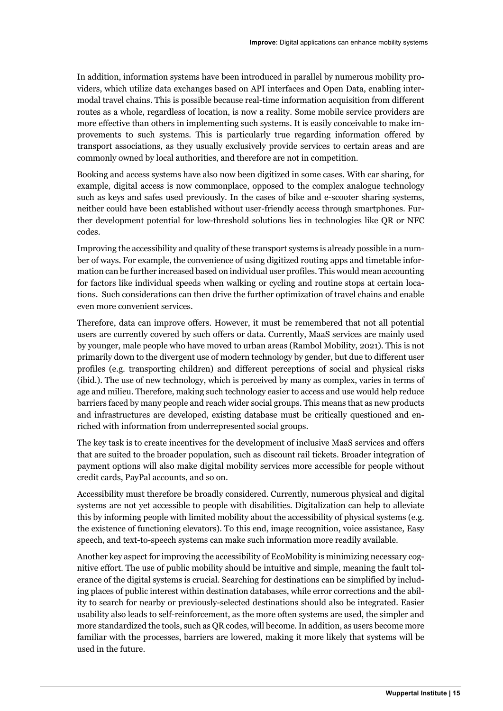In addition, information systems have been introduced in parallel by numerous mobility providers, which utilize data exchanges based on API interfaces and Open Data, enabling intermodal travel chains. This is possible because real-time information acquisition from different routes as a whole, regardless of location, is now a reality. Some mobile service providers are more effective than others in implementing such systems. It is easily conceivable to make improvements to such systems. This is particularly true regarding information offered by transport associations, as they usually exclusively provide services to certain areas and are commonly owned by local authorities, and therefore are not in competition.

Booking and access systems have also now been digitized in some cases. With car sharing, for example, digital access is now commonplace, opposed to the complex analogue technology such as keys and safes used previously. In the cases of bike and e-scooter sharing systems, neither could have been established without user-friendly access through smartphones. Further development potential for low-threshold solutions lies in technologies like QR or NFC codes.

Improving the accessibility and quality of these transport systems is already possible in a number of ways. For example, the convenience of using digitized routing apps and timetable information can be further increased based on individual user profiles. This would mean accounting for factors like individual speeds when walking or cycling and routine stops at certain locations. Such considerations can then drive the further optimization of travel chains and enable even more convenient services.

Therefore, data can improve offers. However, it must be remembered that not all potential users are currently covered by such offers or data. Currently, MaaS services are mainly used by younger, male people who have moved to urban areas (Rambol Mobility, 2021). This is not primarily down to the divergent use of modern technology by gender, but due to different user profiles (e.g. transporting children) and different perceptions of social and physical risks (ibid.). The use of new technology, which is perceived by many as complex, varies in terms of age and milieu. Therefore, making such technology easier to access and use would help reduce barriers faced by many people and reach wider social groups. This means that as new products and infrastructures are developed, existing database must be critically questioned and enriched with information from underrepresented social groups.

The key task is to create incentives for the development of inclusive MaaS services and offers that are suited to the broader population, such as discount rail tickets. Broader integration of payment options will also make digital mobility services more accessible for people without credit cards, PayPal accounts, and so on.

Accessibility must therefore be broadly considered. Currently, numerous physical and digital systems are not yet accessible to people with disabilities. Digitalization can help to alleviate this by informing people with limited mobility about the accessibility of physical systems (e.g. the existence of functioning elevators). To this end, image recognition, voice assistance, Easy speech, and text-to-speech systems can make such information more readily available.

Another key aspect for improving the accessibility of EcoMobility is minimizing necessary cognitive effort. The use of public mobility should be intuitive and simple, meaning the fault tolerance of the digital systems is crucial. Searching for destinations can be simplified by including places of public interest within destination databases, while error corrections and the ability to search for nearby or previously-selected destinations should also be integrated. Easier usability also leads to self-reinforcement, as the more often systems are used, the simpler and more standardized the tools, such as QR codes, will become. In addition, as users become more familiar with the processes, barriers are lowered, making it more likely that systems will be used in the future.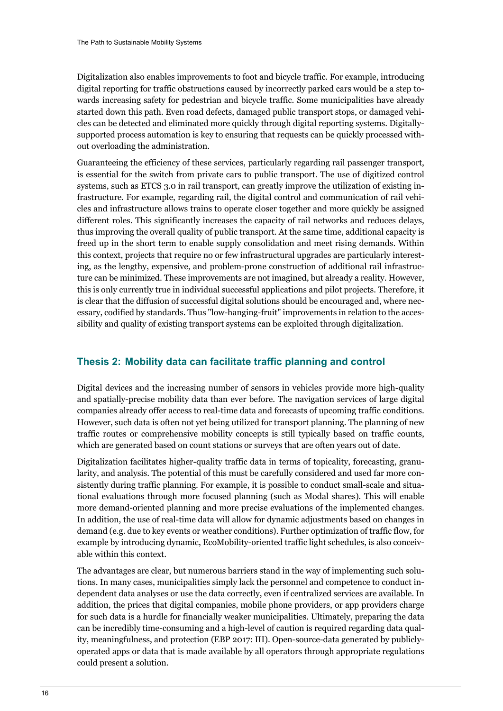Digitalization also enables improvements to foot and bicycle traffic. For example, introducing digital reporting for traffic obstructions caused by incorrectly parked cars would be a step towards increasing safety for pedestrian and bicycle traffic. Some municipalities have already started down this path. Even road defects, damaged public transport stops, or damaged vehicles can be detected and eliminated more quickly through digital reporting systems. Digitallysupported process automation is key to ensuring that requests can be quickly processed without overloading the administration.

Guaranteeing the efficiency of these services, particularly regarding rail passenger transport, is essential for the switch from private cars to public transport. The use of digitized control systems, such as ETCS 3.0 in rail transport, can greatly improve the utilization of existing infrastructure. For example, regarding rail, the digital control and communication of rail vehicles and infrastructure allows trains to operate closer together and more quickly be assigned different roles. This significantly increases the capacity of rail networks and reduces delays, thus improving the overall quality of public transport. At the same time, additional capacity is freed up in the short term to enable supply consolidation and meet rising demands. Within this context, projects that require no or few infrastructural upgrades are particularly interesting, as the lengthy, expensive, and problem-prone construction of additional rail infrastructure can be minimized. These improvements are not imagined, but already a reality. However, this is only currently true in individual successful applications and pilot projects. Therefore, it is clear that the diffusion of successful digital solutions should be encouraged and, where necessary, codified by standards. Thus "low-hanging-fruit" improvements in relation to the accessibility and quality of existing transport systems can be exploited through digitalization.

#### **Thesis 2: Mobility data can facilitate traffic planning and control**

Digital devices and the increasing number of sensors in vehicles provide more high-quality and spatially-precise mobility data than ever before. The navigation services of large digital companies already offer access to real-time data and forecasts of upcoming traffic conditions. However, such data is often not yet being utilized for transport planning. The planning of new traffic routes or comprehensive mobility concepts is still typically based on traffic counts, which are generated based on count stations or surveys that are often years out of date.

Digitalization facilitates higher-quality traffic data in terms of topicality, forecasting, granularity, and analysis. The potential of this must be carefully considered and used far more consistently during traffic planning. For example, it is possible to conduct small-scale and situational evaluations through more focused planning (such as Modal shares). This will enable more demand-oriented planning and more precise evaluations of the implemented changes. In addition, the use of real-time data will allow for dynamic adjustments based on changes in demand (e.g. due to key events or weather conditions). Further optimization of traffic flow, for example by introducing dynamic, EcoMobility-oriented traffic light schedules, is also conceivable within this context.

The advantages are clear, but numerous barriers stand in the way of implementing such solutions. In many cases, municipalities simply lack the personnel and competence to conduct independent data analyses or use the data correctly, even if centralized services are available. In addition, the prices that digital companies, mobile phone providers, or app providers charge for such data is a hurdle for financially weaker municipalities. Ultimately, preparing the data can be incredibly time-consuming and a high-level of caution is required regarding data quality, meaningfulness, and protection (EBP 2017: III). Open-source-data generated by publiclyoperated apps or data that is made available by all operators through appropriate regulations could present a solution.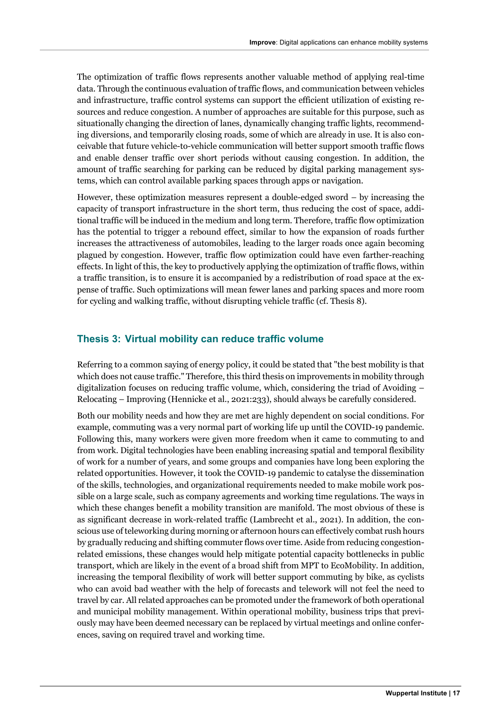The optimization of traffic flows represents another valuable method of applying real-time data. Through the continuous evaluation of traffic flows, and communication between vehicles and infrastructure, traffic control systems can support the efficient utilization of existing resources and reduce congestion. A number of approaches are suitable for this purpose, such as situationally changing the direction of lanes, dynamically changing traffic lights, recommending diversions, and temporarily closing roads, some of which are already in use. It is also conceivable that future vehicle-to-vehicle communication will better support smooth traffic flows and enable denser traffic over short periods without causing congestion. In addition, the amount of traffic searching for parking can be reduced by digital parking management systems, which can control available parking spaces through apps or navigation.

However, these optimization measures represent a double-edged sword – by increasing the capacity of transport infrastructure in the short term, thus reducing the cost of space, additional traffic will be induced in the medium and long term. Therefore, traffic flow optimization has the potential to trigger a rebound effect, similar to how the expansion of roads further increases the attractiveness of automobiles, leading to the larger roads once again becoming plagued by congestion. However, traffic flow optimization could have even farther-reaching effects. In light of this, the key to productively applying the optimization of traffic flows, within a traffic transition, is to ensure it is accompanied by a redistribution of road space at the expense of traffic. Such optimizations will mean fewer lanes and parking spaces and more room for cycling and walking traffic, without disrupting vehicle traffic (cf. Thesis 8).

#### **Thesis 3: Virtual mobility can reduce traffic volume**

Referring to a common saying of energy policy, it could be stated that "the best mobility is that which does not cause traffic." Therefore, this third thesis on improvements in mobility through digitalization focuses on reducing traffic volume, which, considering the triad of Avoiding – Relocating – Improving (Hennicke et al., 2021:233), should always be carefully considered.

Both our mobility needs and how they are met are highly dependent on social conditions. For example, commuting was a very normal part of working life up until the COVID-19 pandemic. Following this, many workers were given more freedom when it came to commuting to and from work. Digital technologies have been enabling increasing spatial and temporal flexibility of work for a number of years, and some groups and companies have long been exploring the related opportunities. However, it took the COVID-19 pandemic to catalyse the dissemination of the skills, technologies, and organizational requirements needed to make mobile work possible on a large scale, such as company agreements and working time regulations. The ways in which these changes benefit a mobility transition are manifold. The most obvious of these is as significant decrease in work-related traffic (Lambrecht et al., 2021). In addition, the conscious use of teleworking during morning or afternoon hours can effectively combat rush hours by gradually reducing and shifting commuter flows over time. Aside from reducing congestionrelated emissions, these changes would help mitigate potential capacity bottlenecks in public transport, which are likely in the event of a broad shift from MPT to EcoMobility. In addition, increasing the temporal flexibility of work will better support commuting by bike, as cyclists who can avoid bad weather with the help of forecasts and telework will not feel the need to travel by car. All related approaches can be promoted under the framework of both operational and municipal mobility management. Within operational mobility, business trips that previously may have been deemed necessary can be replaced by virtual meetings and online conferences, saving on required travel and working time.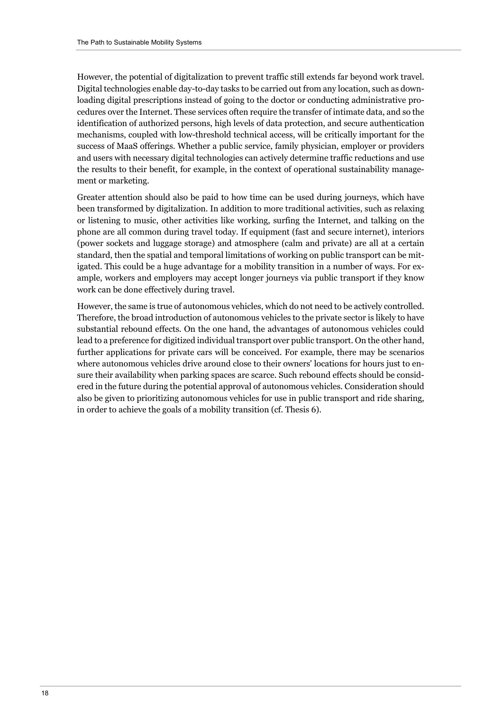However, the potential of digitalization to prevent traffic still extends far beyond work travel. Digital technologies enable day-to-day tasks to be carried out from any location, such as downloading digital prescriptions instead of going to the doctor or conducting administrative procedures over the Internet. These services often require the transfer of intimate data, and so the identification of authorized persons, high levels of data protection, and secure authentication mechanisms, coupled with low-threshold technical access, will be critically important for the success of MaaS offerings. Whether a public service, family physician, employer or providers and users with necessary digital technologies can actively determine traffic reductions and use the results to their benefit, for example, in the context of operational sustainability management or marketing.

Greater attention should also be paid to how time can be used during journeys, which have been transformed by digitalization. In addition to more traditional activities, such as relaxing or listening to music, other activities like working, surfing the Internet, and talking on the phone are all common during travel today. If equipment (fast and secure internet), interiors (power sockets and luggage storage) and atmosphere (calm and private) are all at a certain standard, then the spatial and temporal limitations of working on public transport can be mitigated. This could be a huge advantage for a mobility transition in a number of ways. For example, workers and employers may accept longer journeys via public transport if they know work can be done effectively during travel.

However, the same is true of autonomous vehicles, which do not need to be actively controlled. Therefore, the broad introduction of autonomous vehicles to the private sector is likely to have substantial rebound effects. On the one hand, the advantages of autonomous vehicles could lead to a preference for digitized individual transport over public transport. On the other hand, further applications for private cars will be conceived. For example, there may be scenarios where autonomous vehicles drive around close to their owners' locations for hours just to ensure their availability when parking spaces are scarce. Such rebound effects should be considered in the future during the potential approval of autonomous vehicles. Consideration should also be given to prioritizing autonomous vehicles for use in public transport and ride sharing, in order to achieve the goals of a mobility transition (cf. Thesis 6).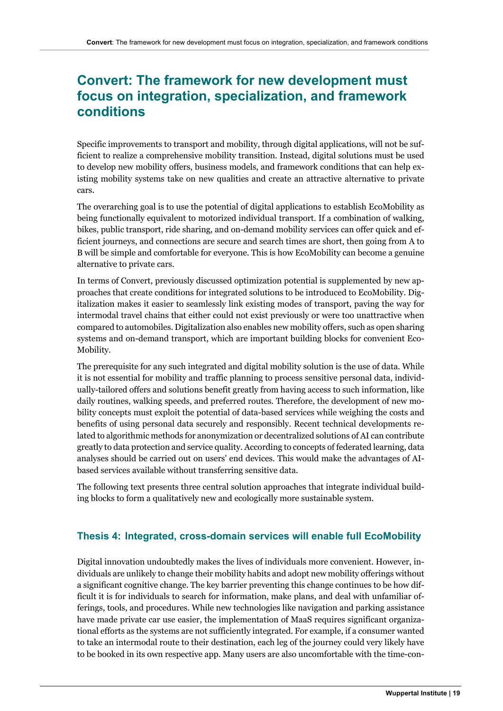### **Convert: The framework for new development must focus on integration, specialization, and framework conditions**

Specific improvements to transport and mobility, through digital applications, will not be sufficient to realize a comprehensive mobility transition. Instead, digital solutions must be used to develop new mobility offers, business models, and framework conditions that can help existing mobility systems take on new qualities and create an attractive alternative to private cars.

The overarching goal is to use the potential of digital applications to establish EcoMobility as being functionally equivalent to motorized individual transport. If a combination of walking, bikes, public transport, ride sharing, and on-demand mobility services can offer quick and efficient journeys, and connections are secure and search times are short, then going from A to B will be simple and comfortable for everyone. This is how EcoMobility can become a genuine alternative to private cars.

In terms of Convert, previously discussed optimization potential is supplemented by new approaches that create conditions for integrated solutions to be introduced to EcoMobility. Digitalization makes it easier to seamlessly link existing modes of transport, paving the way for intermodal travel chains that either could not exist previously or were too unattractive when compared to automobiles. Digitalization also enables new mobility offers, such as open sharing systems and on-demand transport, which are important building blocks for convenient Eco-Mobility.

The prerequisite for any such integrated and digital mobility solution is the use of data. While it is not essential for mobility and traffic planning to process sensitive personal data, individually-tailored offers and solutions benefit greatly from having access to such information, like daily routines, walking speeds, and preferred routes. Therefore, the development of new mobility concepts must exploit the potential of data-based services while weighing the costs and benefits of using personal data securely and responsibly. Recent technical developments related to algorithmic methods for anonymization or decentralized solutions of AI can contribute greatly to data protection and service quality. According to concepts of federated learning, data analyses should be carried out on users' end devices. This would make the advantages of AIbased services available without transferring sensitive data.

The following text presents three central solution approaches that integrate individual building blocks to form a qualitatively new and ecologically more sustainable system.

#### **Thesis 4: Integrated, cross-domain services will enable full EcoMobility**

Digital innovation undoubtedly makes the lives of individuals more convenient. However, individuals are unlikely to change their mobility habits and adopt new mobility offerings without a significant cognitive change. The key barrier preventing this change continues to be how difficult it is for individuals to search for information, make plans, and deal with unfamiliar offerings, tools, and procedures. While new technologies like navigation and parking assistance have made private car use easier, the implementation of MaaS requires significant organizational efforts as the systems are not sufficiently integrated. For example, if a consumer wanted to take an intermodal route to their destination, each leg of the journey could very likely have to be booked in its own respective app. Many users are also uncomfortable with the time-con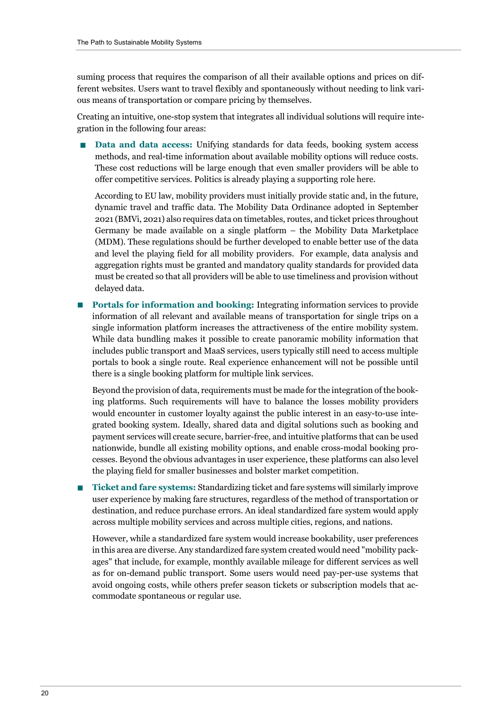suming process that requires the comparison of all their available options and prices on different websites. Users want to travel flexibly and spontaneously without needing to link various means of transportation or compare pricing by themselves.

Creating an intuitive, one-stop system that integrates all individual solutions will require integration in the following four areas:

n **Data and data access:** Unifying standards for data feeds, booking system access methods, and real-time information about available mobility options will reduce costs. These cost reductions will be large enough that even smaller providers will be able to offer competitive services. Politics is already playing a supporting role here.

According to EU law, mobility providers must initially provide static and, in the future, dynamic travel and traffic data. The Mobility Data Ordinance adopted in September 2021 (BMVi, 2021) also requires data on timetables, routes, and ticket prices throughout Germany be made available on a single platform – the Mobility Data Marketplace (MDM). These regulations should be further developed to enable better use of the data and level the playing field for all mobility providers. For example, data analysis and aggregation rights must be granted and mandatory quality standards for provided data must be created so that all providers will be able to use timeliness and provision without delayed data.

**n Portals for information and booking:** Integrating information services to provide information of all relevant and available means of transportation for single trips on a single information platform increases the attractiveness of the entire mobility system. While data bundling makes it possible to create panoramic mobility information that includes public transport and MaaS services, users typically still need to access multiple portals to book a single route. Real experience enhancement will not be possible until there is a single booking platform for multiple link services.

Beyond the provision of data, requirements must be made for the integration of the booking platforms. Such requirements will have to balance the losses mobility providers would encounter in customer loyalty against the public interest in an easy-to-use integrated booking system. Ideally, shared data and digital solutions such as booking and payment services will create secure, barrier-free, and intuitive platforms that can be used nationwide, bundle all existing mobility options, and enable cross-modal booking processes. Beyond the obvious advantages in user experience, these platforms can also level the playing field for smaller businesses and bolster market competition.

**n Ticket and fare systems:** Standardizing ticket and fare systems will similarly improve user experience by making fare structures, regardless of the method of transportation or destination, and reduce purchase errors. An ideal standardized fare system would apply across multiple mobility services and across multiple cities, regions, and nations.

However, while a standardized fare system would increase bookability, user preferences in this area are diverse. Any standardized fare system created would need "mobility packages" that include, for example, monthly available mileage for different services as well as for on-demand public transport. Some users would need pay-per-use systems that avoid ongoing costs, while others prefer season tickets or subscription models that accommodate spontaneous or regular use.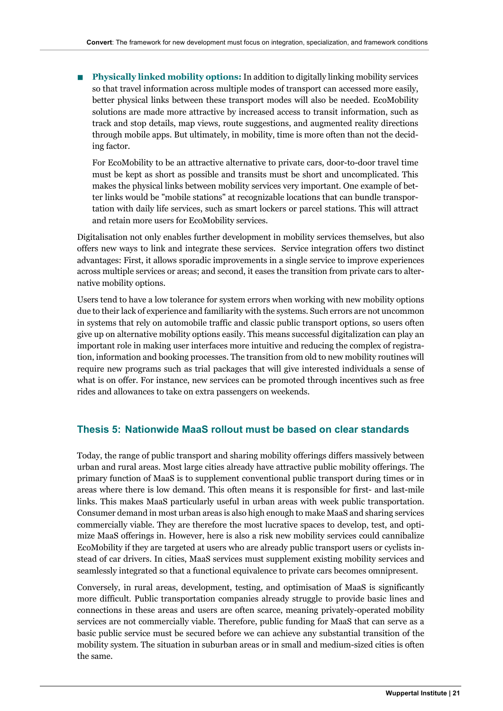n **Physically linked mobility options:** In addition to digitally linking mobility services so that travel information across multiple modes of transport can accessed more easily, better physical links between these transport modes will also be needed. EcoMobility solutions are made more attractive by increased access to transit information, such as track and stop details, map views, route suggestions, and augmented reality directions through mobile apps. But ultimately, in mobility, time is more often than not the deciding factor.

For EcoMobility to be an attractive alternative to private cars, door-to-door travel time must be kept as short as possible and transits must be short and uncomplicated. This makes the physical links between mobility services very important. One example of better links would be "mobile stations" at recognizable locations that can bundle transportation with daily life services, such as smart lockers or parcel stations. This will attract and retain more users for EcoMobility services.

Digitalisation not only enables further development in mobility services themselves, but also offers new ways to link and integrate these services. Service integration offers two distinct advantages: First, it allows sporadic improvements in a single service to improve experiences across multiple services or areas; and second, it eases the transition from private cars to alternative mobility options.

Users tend to have a low tolerance for system errors when working with new mobility options due to their lack of experience and familiarity with the systems. Such errors are not uncommon in systems that rely on automobile traffic and classic public transport options, so users often give up on alternative mobility options easily. This means successful digitalization can play an important role in making user interfaces more intuitive and reducing the complex of registration, information and booking processes. The transition from old to new mobility routines will require new programs such as trial packages that will give interested individuals a sense of what is on offer. For instance, new services can be promoted through incentives such as free rides and allowances to take on extra passengers on weekends.

#### **Thesis 5: Nationwide MaaS rollout must be based on clear standards**

Today, the range of public transport and sharing mobility offerings differs massively between urban and rural areas. Most large cities already have attractive public mobility offerings. The primary function of MaaS is to supplement conventional public transport during times or in areas where there is low demand. This often means it is responsible for first- and last-mile links. This makes MaaS particularly useful in urban areas with week public transportation. Consumer demand in most urban areas is also high enough to make MaaS and sharing services commercially viable. They are therefore the most lucrative spaces to develop, test, and optimize MaaS offerings in. However, here is also a risk new mobility services could cannibalize EcoMobility if they are targeted at users who are already public transport users or cyclists instead of car drivers. In cities, MaaS services must supplement existing mobility services and seamlessly integrated so that a functional equivalence to private cars becomes omnipresent.

Conversely, in rural areas, development, testing, and optimisation of MaaS is significantly more difficult. Public transportation companies already struggle to provide basic lines and connections in these areas and users are often scarce, meaning privately-operated mobility services are not commercially viable. Therefore, public funding for MaaS that can serve as a basic public service must be secured before we can achieve any substantial transition of the mobility system. The situation in suburban areas or in small and medium-sized cities is often the same.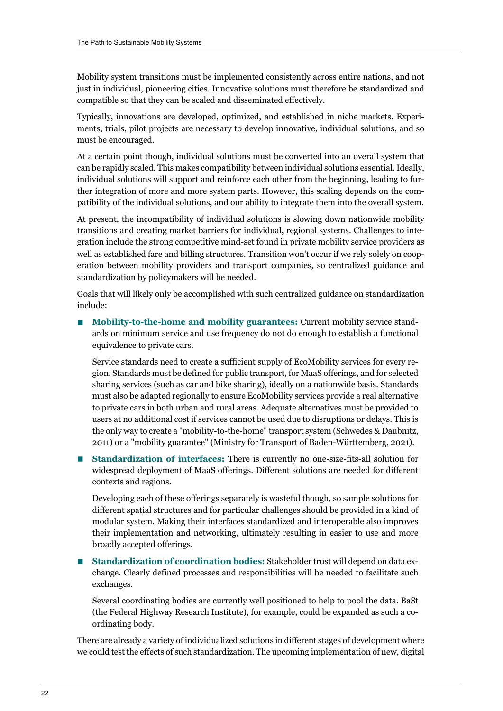Mobility system transitions must be implemented consistently across entire nations, and not just in individual, pioneering cities. Innovative solutions must therefore be standardized and compatible so that they can be scaled and disseminated effectively.

Typically, innovations are developed, optimized, and established in niche markets. Experiments, trials, pilot projects are necessary to develop innovative, individual solutions, and so must be encouraged.

At a certain point though, individual solutions must be converted into an overall system that can be rapidly scaled. This makes compatibility between individual solutions essential. Ideally, individual solutions will support and reinforce each other from the beginning, leading to further integration of more and more system parts. However, this scaling depends on the compatibility of the individual solutions, and our ability to integrate them into the overall system.

At present, the incompatibility of individual solutions is slowing down nationwide mobility transitions and creating market barriers for individual, regional systems. Challenges to integration include the strong competitive mind-set found in private mobility service providers as well as established fare and billing structures. Transition won't occur if we rely solely on cooperation between mobility providers and transport companies, so centralized guidance and standardization by policymakers will be needed.

Goals that will likely only be accomplished with such centralized guidance on standardization include:

n **Mobility-to-the-home and mobility guarantees:** Current mobility service standards on minimum service and use frequency do not do enough to establish a functional equivalence to private cars.

Service standards need to create a sufficient supply of EcoMobility services for every region. Standards must be defined for public transport, for MaaS offerings, and for selected sharing services (such as car and bike sharing), ideally on a nationwide basis. Standards must also be adapted regionally to ensure EcoMobility services provide a real alternative to private cars in both urban and rural areas. Adequate alternatives must be provided to users at no additional cost if services cannot be used due to disruptions or delays. This is the only way to create a "mobility-to-the-home" transport system (Schwedes & Daubnitz, 2011) or a "mobility guarantee" (Ministry for Transport of Baden-Württemberg, 2021).

n **Standardization of interfaces:** There is currently no one-size-fits-all solution for widespread deployment of MaaS offerings. Different solutions are needed for different contexts and regions.

Developing each of these offerings separately is wasteful though, so sample solutions for different spatial structures and for particular challenges should be provided in a kind of modular system. Making their interfaces standardized and interoperable also improves their implementation and networking, ultimately resulting in easier to use and more broadly accepted offerings.

n **Standardization of coordination bodies:** Stakeholder trust will depend on data exchange. Clearly defined processes and responsibilities will be needed to facilitate such exchanges.

Several coordinating bodies are currently well positioned to help to pool the data. BaSt (the Federal Highway Research Institute), for example, could be expanded as such a coordinating body.

There are already a variety of individualized solutions in different stages of development where we could test the effects of such standardization. The upcoming implementation of new, digital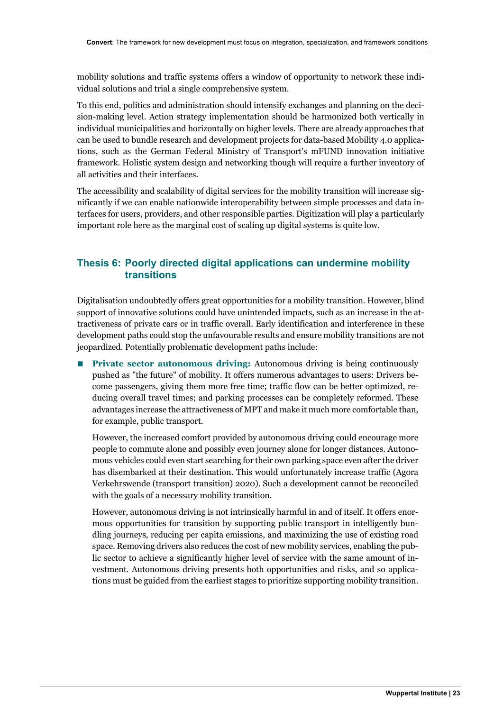mobility solutions and traffic systems offers a window of opportunity to network these individual solutions and trial a single comprehensive system.

To this end, politics and administration should intensify exchanges and planning on the decision-making level. Action strategy implementation should be harmonized both vertically in individual municipalities and horizontally on higher levels. There are already approaches that can be used to bundle research and development projects for data-based Mobility 4.0 applications, such as the German Federal Ministry of Transport's mFUND innovation initiative framework. Holistic system design and networking though will require a further inventory of all activities and their interfaces.

The accessibility and scalability of digital services for the mobility transition will increase significantly if we can enable nationwide interoperability between simple processes and data interfaces for users, providers, and other responsible parties. Digitization will play a particularly important role here as the marginal cost of scaling up digital systems is quite low.

#### **Thesis 6: Poorly directed digital applications can undermine mobility transitions**

Digitalisation undoubtedly offers great opportunities for a mobility transition. However, blind support of innovative solutions could have unintended impacts, such as an increase in the attractiveness of private cars or in traffic overall. Early identification and interference in these development paths could stop the unfavourable results and ensure mobility transitions are not jeopardized. Potentially problematic development paths include:

**n Private sector autonomous driving:** Autonomous driving is being continuously pushed as "the future" of mobility. It offers numerous advantages to users: Drivers become passengers, giving them more free time; traffic flow can be better optimized, reducing overall travel times; and parking processes can be completely reformed. These advantages increase the attractiveness of MPT and make it much more comfortable than, for example, public transport.

However, the increased comfort provided by autonomous driving could encourage more people to commute alone and possibly even journey alone for longer distances. Autonomous vehicles could even start searching for their own parking space even after the driver has disembarked at their destination. This would unfortunately increase traffic (Agora Verkehrswende (transport transition) 2020). Such a development cannot be reconciled with the goals of a necessary mobility transition.

However, autonomous driving is not intrinsically harmful in and of itself. It offers enormous opportunities for transition by supporting public transport in intelligently bundling journeys, reducing per capita emissions, and maximizing the use of existing road space. Removing drivers also reduces the cost of new mobility services, enabling the public sector to achieve a significantly higher level of service with the same amount of investment. Autonomous driving presents both opportunities and risks, and so applications must be guided from the earliest stages to prioritize supporting mobility transition.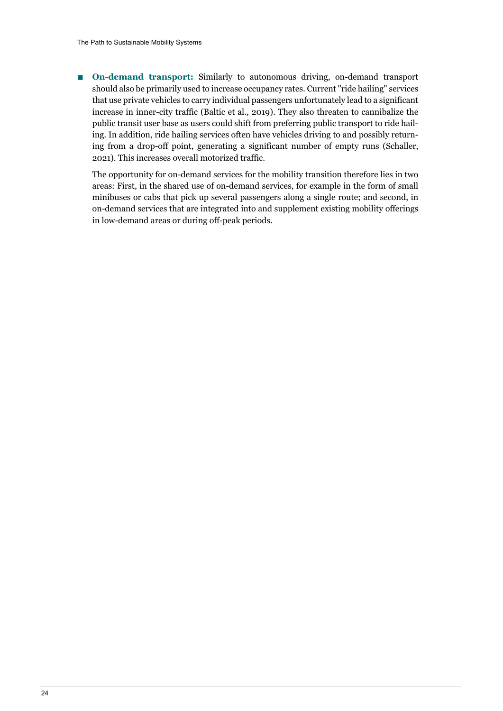n **On-demand transport:** Similarly to autonomous driving, on-demand transport should also be primarily used to increase occupancy rates. Current "ride hailing" services that use private vehicles to carry individual passengers unfortunately lead to a significant increase in inner-city traffic (Baltic et al., 2019). They also threaten to cannibalize the public transit user base as users could shift from preferring public transport to ride hailing. In addition, ride hailing services often have vehicles driving to and possibly returning from a drop-off point, generating a significant number of empty runs (Schaller, 2021). This increases overall motorized traffic.

The opportunity for on-demand services for the mobility transition therefore lies in two areas: First, in the shared use of on-demand services, for example in the form of small minibuses or cabs that pick up several passengers along a single route; and second, in on-demand services that are integrated into and supplement existing mobility offerings in low-demand areas or during off-peak periods.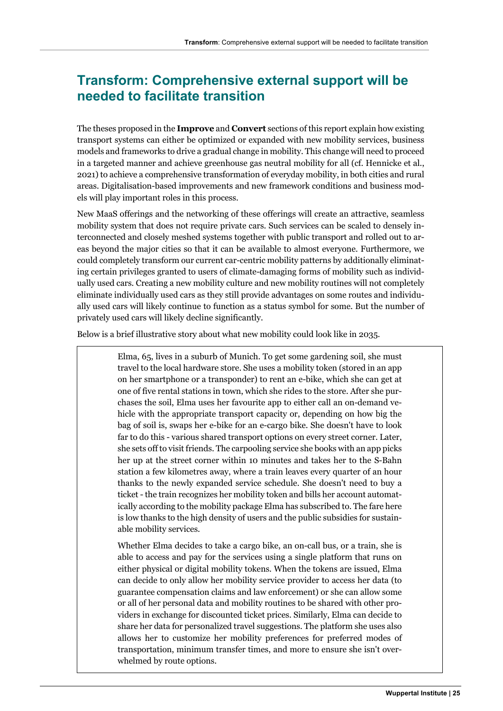# **Transform: Comprehensive external support will be needed to facilitate transition**

The theses proposed in the **Improve** and **Convert** sections of this report explain how existing transport systems can either be optimized or expanded with new mobility services, business models and frameworks to drive a gradual change in mobility. This change will need to proceed in a targeted manner and achieve greenhouse gas neutral mobility for all (cf. Hennicke et al., 2021) to achieve a comprehensive transformation of everyday mobility, in both cities and rural areas. Digitalisation-based improvements and new framework conditions and business models will play important roles in this process.

New MaaS offerings and the networking of these offerings will create an attractive, seamless mobility system that does not require private cars. Such services can be scaled to densely interconnected and closely meshed systems together with public transport and rolled out to areas beyond the major cities so that it can be available to almost everyone. Furthermore, we could completely transform our current car-centric mobility patterns by additionally eliminating certain privileges granted to users of climate-damaging forms of mobility such as individually used cars. Creating a new mobility culture and new mobility routines will not completely eliminate individually used cars as they still provide advantages on some routes and individually used cars will likely continue to function as a status symbol for some. But the number of privately used cars will likely decline significantly.

Below is a brief illustrative story about what new mobility could look like in 2035.

Elma, 65, lives in a suburb of Munich. To get some gardening soil, she must travel to the local hardware store. She uses a mobility token (stored in an app on her smartphone or a transponder) to rent an e-bike, which she can get at one of five rental stations in town, which she rides to the store. After she purchases the soil, Elma uses her favourite app to either call an on-demand vehicle with the appropriate transport capacity or, depending on how big the bag of soil is, swaps her e-bike for an e-cargo bike. She doesn't have to look far to do this - various shared transport options on every street corner. Later, she sets off to visit friends. The carpooling service she books with an app picks her up at the street corner within 10 minutes and takes her to the S-Bahn station a few kilometres away, where a train leaves every quarter of an hour thanks to the newly expanded service schedule. She doesn't need to buy a ticket - the train recognizes her mobility token and bills her account automatically according to the mobility package Elma has subscribed to. The fare here is low thanks to the high density of users and the public subsidies for sustainable mobility services.

Whether Elma decides to take a cargo bike, an on-call bus, or a train, she is able to access and pay for the services using a single platform that runs on either physical or digital mobility tokens. When the tokens are issued, Elma can decide to only allow her mobility service provider to access her data (to guarantee compensation claims and law enforcement) or she can allow some or all of her personal data and mobility routines to be shared with other providers in exchange for discounted ticket prices. Similarly, Elma can decide to share her data for personalized travel suggestions. The platform she uses also allows her to customize her mobility preferences for preferred modes of transportation, minimum transfer times, and more to ensure she isn't overwhelmed by route options.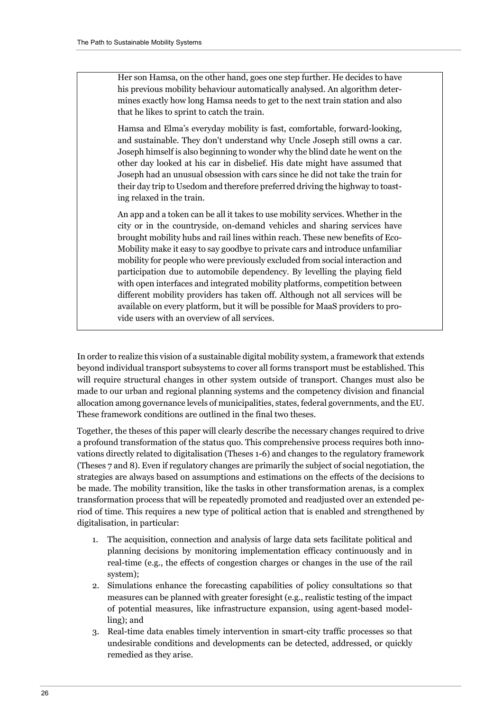Her son Hamsa, on the other hand, goes one step further. He decides to have his previous mobility behaviour automatically analysed. An algorithm determines exactly how long Hamsa needs to get to the next train station and also that he likes to sprint to catch the train.

Hamsa and Elma's everyday mobility is fast, comfortable, forward-looking, and sustainable. They don't understand why Uncle Joseph still owns a car. Joseph himself is also beginning to wonder why the blind date he went on the other day looked at his car in disbelief. His date might have assumed that Joseph had an unusual obsession with cars since he did not take the train for their day trip to Usedom and therefore preferred driving the highway to toasting relaxed in the train.

An app and a token can be all it takes to use mobility services. Whether in the city or in the countryside, on-demand vehicles and sharing services have brought mobility hubs and rail lines within reach. These new benefits of Eco-Mobility make it easy to say goodbye to private cars and introduce unfamiliar mobility for people who were previously excluded from social interaction and participation due to automobile dependency. By levelling the playing field with open interfaces and integrated mobility platforms, competition between different mobility providers has taken off. Although not all services will be available on every platform, but it will be possible for MaaS providers to provide users with an overview of all services.

In order to realize this vision of a sustainable digital mobility system, a framework that extends beyond individual transport subsystems to cover all forms transport must be established. This will require structural changes in other system outside of transport. Changes must also be made to our urban and regional planning systems and the competency division and financial allocation among governance levels of municipalities, states, federal governments, and the EU. These framework conditions are outlined in the final two theses.

Together, the theses of this paper will clearly describe the necessary changes required to drive a profound transformation of the status quo. This comprehensive process requires both innovations directly related to digitalisation (Theses 1-6) and changes to the regulatory framework (Theses 7 and 8). Even if regulatory changes are primarily the subject of social negotiation, the strategies are always based on assumptions and estimations on the effects of the decisions to be made. The mobility transition, like the tasks in other transformation arenas, is a complex transformation process that will be repeatedly promoted and readjusted over an extended period of time. This requires a new type of political action that is enabled and strengthened by digitalisation, in particular:

- 1. The acquisition, connection and analysis of large data sets facilitate political and planning decisions by monitoring implementation efficacy continuously and in real-time (e.g., the effects of congestion charges or changes in the use of the rail system);
- 2. Simulations enhance the forecasting capabilities of policy consultations so that measures can be planned with greater foresight (e.g., realistic testing of the impact of potential measures, like infrastructure expansion, using agent-based modelling); and
- 3. Real-time data enables timely intervention in smart-city traffic processes so that undesirable conditions and developments can be detected, addressed, or quickly remedied as they arise.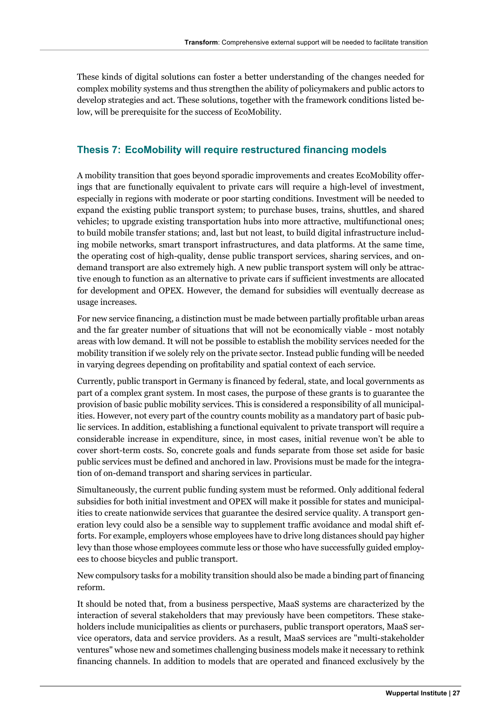These kinds of digital solutions can foster a better understanding of the changes needed for complex mobility systems and thus strengthen the ability of policymakers and public actors to develop strategies and act. These solutions, together with the framework conditions listed below, will be prerequisite for the success of EcoMobility.

#### **Thesis 7: EcoMobility will require restructured financing models**

A mobility transition that goes beyond sporadic improvements and creates EcoMobility offerings that are functionally equivalent to private cars will require a high-level of investment, especially in regions with moderate or poor starting conditions. Investment will be needed to expand the existing public transport system; to purchase buses, trains, shuttles, and shared vehicles; to upgrade existing transportation hubs into more attractive, multifunctional ones; to build mobile transfer stations; and, last but not least, to build digital infrastructure including mobile networks, smart transport infrastructures, and data platforms. At the same time, the operating cost of high-quality, dense public transport services, sharing services, and ondemand transport are also extremely high. A new public transport system will only be attractive enough to function as an alternative to private cars if sufficient investments are allocated for development and OPEX. However, the demand for subsidies will eventually decrease as usage increases.

For new service financing, a distinction must be made between partially profitable urban areas and the far greater number of situations that will not be economically viable - most notably areas with low demand. It will not be possible to establish the mobility services needed for the mobility transition if we solely rely on the private sector. Instead public funding will be needed in varying degrees depending on profitability and spatial context of each service.

Currently, public transport in Germany is financed by federal, state, and local governments as part of a complex grant system. In most cases, the purpose of these grants is to guarantee the provision of basic public mobility services. This is considered a responsibility of all municipalities. However, not every part of the country counts mobility as a mandatory part of basic public services. In addition, establishing a functional equivalent to private transport will require a considerable increase in expenditure, since, in most cases, initial revenue won't be able to cover short-term costs. So, concrete goals and funds separate from those set aside for basic public services must be defined and anchored in law. Provisions must be made for the integration of on-demand transport and sharing services in particular.

Simultaneously, the current public funding system must be reformed. Only additional federal subsidies for both initial investment and OPEX will make it possible for states and municipalities to create nationwide services that guarantee the desired service quality. A transport generation levy could also be a sensible way to supplement traffic avoidance and modal shift efforts. For example, employers whose employees have to drive long distances should pay higher levy than those whose employees commute less or those who have successfully guided employees to choose bicycles and public transport.

New compulsory tasks for a mobility transition should also be made a binding part of financing reform.

It should be noted that, from a business perspective, MaaS systems are characterized by the interaction of several stakeholders that may previously have been competitors. These stakeholders include municipalities as clients or purchasers, public transport operators, MaaS service operators, data and service providers. As a result, MaaS services are "multi-stakeholder ventures" whose new and sometimes challenging business models make it necessary to rethink financing channels. In addition to models that are operated and financed exclusively by the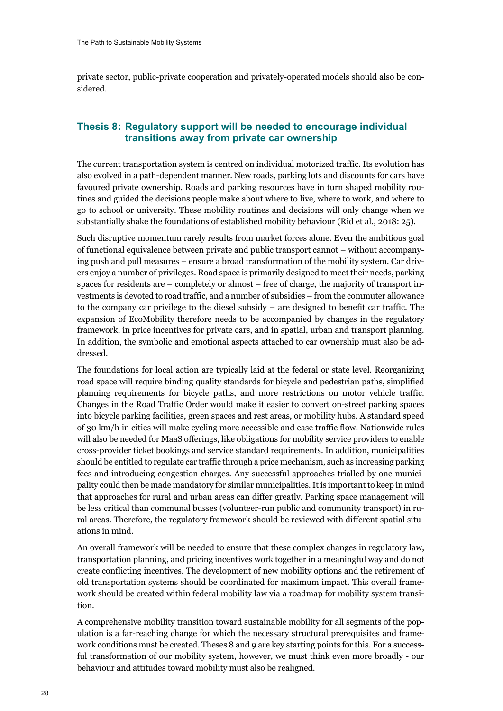private sector, public-private cooperation and privately-operated models should also be considered.

#### **Thesis 8: Regulatory support will be needed to encourage individual transitions away from private car ownership**

The current transportation system is centred on individual motorized traffic. Its evolution has also evolved in a path-dependent manner. New roads, parking lots and discounts for cars have favoured private ownership. Roads and parking resources have in turn shaped mobility routines and guided the decisions people make about where to live, where to work, and where to go to school or university. These mobility routines and decisions will only change when we substantially shake the foundations of established mobility behaviour (Rid et al., 2018: 25).

Such disruptive momentum rarely results from market forces alone. Even the ambitious goal of functional equivalence between private and public transport cannot – without accompanying push and pull measures – ensure a broad transformation of the mobility system. Car drivers enjoy a number of privileges. Road space is primarily designed to meet their needs, parking spaces for residents are – completely or almost – free of charge, the majority of transport investments is devoted to road traffic, and a number of subsidies – from the commuter allowance to the company car privilege to the diesel subsidy – are designed to benefit car traffic. The expansion of EcoMobility therefore needs to be accompanied by changes in the regulatory framework, in price incentives for private cars, and in spatial, urban and transport planning. In addition, the symbolic and emotional aspects attached to car ownership must also be addressed.

The foundations for local action are typically laid at the federal or state level. Reorganizing road space will require binding quality standards for bicycle and pedestrian paths, simplified planning requirements for bicycle paths, and more restrictions on motor vehicle traffic. Changes in the Road Traffic Order would make it easier to convert on-street parking spaces into bicycle parking facilities, green spaces and rest areas, or mobility hubs. A standard speed of 30 km/h in cities will make cycling more accessible and ease traffic flow. Nationwide rules will also be needed for MaaS offerings, like obligations for mobility service providers to enable cross-provider ticket bookings and service standard requirements. In addition, municipalities should be entitled to regulate car traffic through a price mechanism, such as increasing parking fees and introducing congestion charges. Any successful approaches trialled by one municipality could then be made mandatory for similar municipalities. It is important to keep in mind that approaches for rural and urban areas can differ greatly. Parking space management will be less critical than communal busses (volunteer-run public and community transport) in rural areas. Therefore, the regulatory framework should be reviewed with different spatial situations in mind.

An overall framework will be needed to ensure that these complex changes in regulatory law, transportation planning, and pricing incentives work together in a meaningful way and do not create conflicting incentives. The development of new mobility options and the retirement of old transportation systems should be coordinated for maximum impact. This overall framework should be created within federal mobility law via a roadmap for mobility system transition.

A comprehensive mobility transition toward sustainable mobility for all segments of the population is a far-reaching change for which the necessary structural prerequisites and framework conditions must be created. Theses 8 and 9 are key starting points for this. For a successful transformation of our mobility system, however, we must think even more broadly - our behaviour and attitudes toward mobility must also be realigned.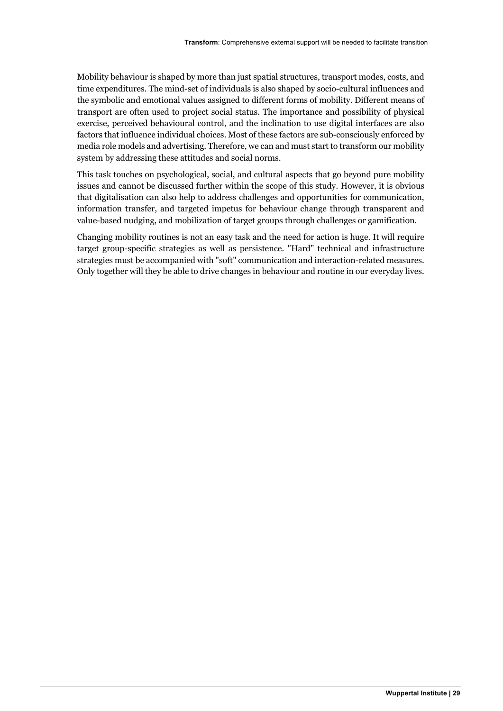Mobility behaviour is shaped by more than just spatial structures, transport modes, costs, and time expenditures. The mind-set of individuals is also shaped by socio-cultural influences and the symbolic and emotional values assigned to different forms of mobility. Different means of transport are often used to project social status. The importance and possibility of physical exercise, perceived behavioural control, and the inclination to use digital interfaces are also factors that influence individual choices. Most of these factors are sub-consciously enforced by media role models and advertising. Therefore, we can and must start to transform our mobility system by addressing these attitudes and social norms.

This task touches on psychological, social, and cultural aspects that go beyond pure mobility issues and cannot be discussed further within the scope of this study. However, it is obvious that digitalisation can also help to address challenges and opportunities for communication, information transfer, and targeted impetus for behaviour change through transparent and value-based nudging, and mobilization of target groups through challenges or gamification.

Changing mobility routines is not an easy task and the need for action is huge. It will require target group-specific strategies as well as persistence. "Hard" technical and infrastructure strategies must be accompanied with "soft" communication and interaction-related measures. Only together will they be able to drive changes in behaviour and routine in our everyday lives.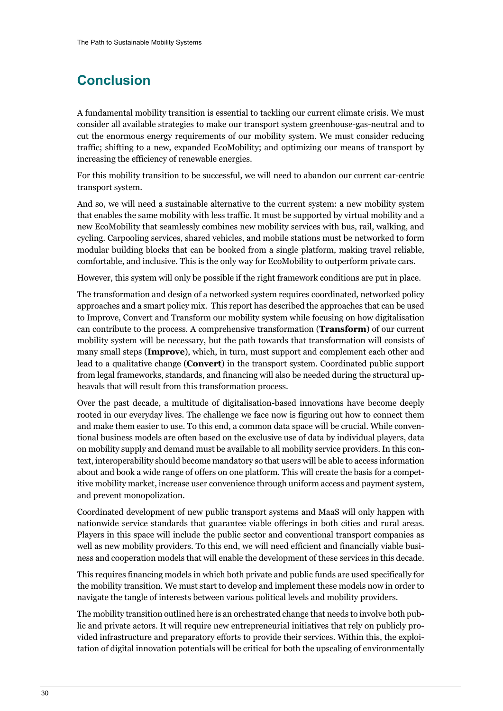# **Conclusion**

A fundamental mobility transition is essential to tackling our current climate crisis. We must consider all available strategies to make our transport system greenhouse-gas-neutral and to cut the enormous energy requirements of our mobility system. We must consider reducing traffic; shifting to a new, expanded EcoMobility; and optimizing our means of transport by increasing the efficiency of renewable energies.

For this mobility transition to be successful, we will need to abandon our current car-centric transport system.

And so, we will need a sustainable alternative to the current system: a new mobility system that enables the same mobility with less traffic. It must be supported by virtual mobility and a new EcoMobility that seamlessly combines new mobility services with bus, rail, walking, and cycling. Carpooling services, shared vehicles, and mobile stations must be networked to form modular building blocks that can be booked from a single platform, making travel reliable, comfortable, and inclusive. This is the only way for EcoMobility to outperform private cars.

However, this system will only be possible if the right framework conditions are put in place.

The transformation and design of a networked system requires coordinated, networked policy approaches and a smart policy mix. This report has described the approaches that can be used to Improve, Convert and Transform our mobility system while focusing on how digitalisation can contribute to the process. A comprehensive transformation (**Transform**) of our current mobility system will be necessary, but the path towards that transformation will consists of many small steps (**Improve**), which, in turn, must support and complement each other and lead to a qualitative change (**Convert**) in the transport system. Coordinated public support from legal frameworks, standards, and financing will also be needed during the structural upheavals that will result from this transformation process.

Over the past decade, a multitude of digitalisation-based innovations have become deeply rooted in our everyday lives. The challenge we face now is figuring out how to connect them and make them easier to use. To this end, a common data space will be crucial. While conventional business models are often based on the exclusive use of data by individual players, data on mobility supply and demand must be available to all mobility service providers. In this context, interoperability should become mandatory so that users will be able to access information about and book a wide range of offers on one platform. This will create the basis for a competitive mobility market, increase user convenience through uniform access and payment system, and prevent monopolization.

Coordinated development of new public transport systems and MaaS will only happen with nationwide service standards that guarantee viable offerings in both cities and rural areas. Players in this space will include the public sector and conventional transport companies as well as new mobility providers. To this end, we will need efficient and financially viable business and cooperation models that will enable the development of these services in this decade.

This requires financing models in which both private and public funds are used specifically for the mobility transition. We must start to develop and implement these models now in order to navigate the tangle of interests between various political levels and mobility providers.

The mobility transition outlined here is an orchestrated change that needs to involve both public and private actors. It will require new entrepreneurial initiatives that rely on publicly provided infrastructure and preparatory efforts to provide their services. Within this, the exploitation of digital innovation potentials will be critical for both the upscaling of environmentally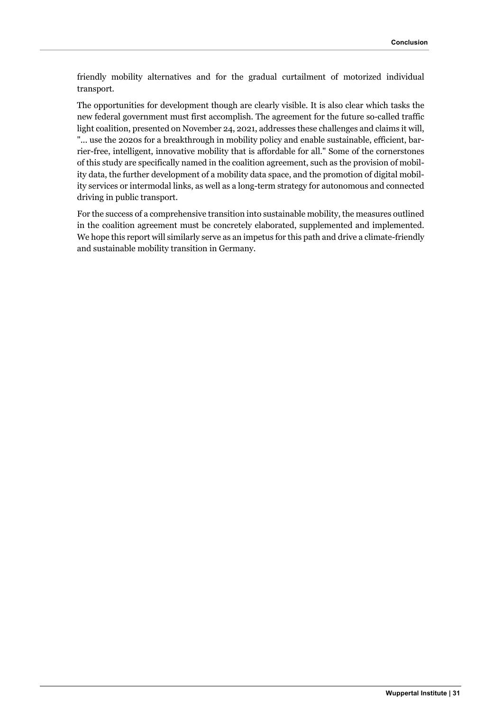friendly mobility alternatives and for the gradual curtailment of motorized individual transport.

The opportunities for development though are clearly visible. It is also clear which tasks the new federal government must first accomplish. The agreement for the future so-called traffic light coalition, presented on November 24, 2021, addresses these challenges and claims it will, "... use the 2020s for a breakthrough in mobility policy and enable sustainable, efficient, barrier-free, intelligent, innovative mobility that is affordable for all." Some of the cornerstones of this study are specifically named in the coalition agreement, such as the provision of mobility data, the further development of a mobility data space, and the promotion of digital mobility services or intermodal links, as well as a long-term strategy for autonomous and connected driving in public transport.

For the success of a comprehensive transition into sustainable mobility, the measures outlined in the coalition agreement must be concretely elaborated, supplemented and implemented. We hope this report will similarly serve as an impetus for this path and drive a climate-friendly and sustainable mobility transition in Germany.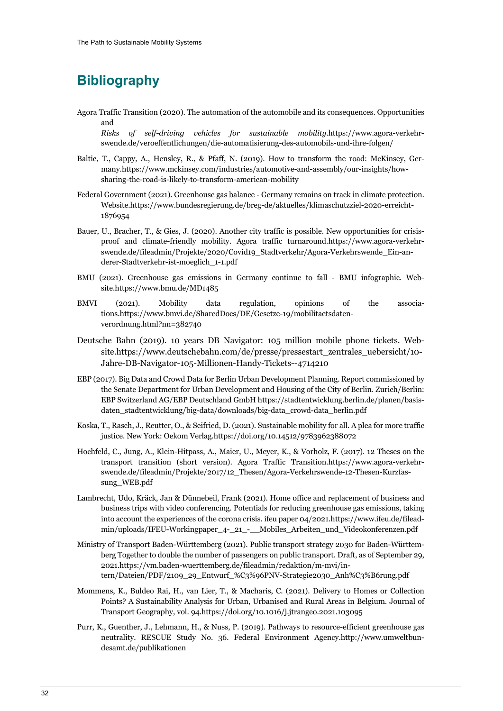### **Bibliography**

- Agora Traffic Transition (2020). The automation of the automobile and its consequences. Opportunities and *Risks of self-driving vehicles for sustainable mobility*.https://www.agora-verkehrswende.de/veroeffentlichungen/die-automatisierung-des-automobils-und-ihre-folgen/
- Baltic, T., Cappy, A., Hensley, R., & Pfaff, N. (2019). How to transform the road: McKinsey, Germany.https://www.mckinsey.com/industries/automotive-and-assembly/our-insights/howsharing-the-road-is-likely-to-transform-american-mobility
- Federal Government (2021). Greenhouse gas balance Germany remains on track in climate protection. Website.https://www.bundesregierung.de/breg-de/aktuelles/klimaschutzziel-2020-erreicht-1876954
- Bauer, U., Bracher, T., & Gies, J. (2020). Another city traffic is possible. New opportunities for crisisproof and climate-friendly mobility. Agora traffic turnaround.https://www.agora-verkehrswende.de/fileadmin/Projekte/2020/Covid19\_Stadtverkehr/Agora-Verkehrswende\_Ein-anderer-Stadtverkehr-ist-moeglich\_1-1.pdf
- BMU (2021). Greenhouse gas emissions in Germany continue to fall BMU infographic. Website.https://www.bmu.de/MD1485
- BMVI (2021). Mobility data regulation, opinions of the associations.https://www.bmvi.de/SharedDocs/DE/Gesetze-19/mobilitaetsdatenverordnung.html?nn=382740
- Deutsche Bahn (2019). 10 years DB Navigator: 105 million mobile phone tickets. Website.https://www.deutschebahn.com/de/presse/pressestart\_zentrales\_uebersicht/10- Jahre-DB-Navigator-105-Millionen-Handy-Tickets--4714210
- EBP (2017). Big Data and Crowd Data for Berlin Urban Development Planning. Report commissioned by the Senate Department for Urban Development and Housing of the City of Berlin. Zurich/Berlin: EBP Switzerland AG/EBP Deutschland GmbH https://stadtentwicklung.berlin.de/planen/basisdaten\_stadtentwicklung/big-data/downloads/big-data\_crowd-data\_berlin.pdf
- Koska, T., Rasch, J., Reutter, O., & Seifried, D. (2021). Sustainable mobility for all. A plea for more traffic justice. New York: Oekom Verlag.https://doi.org/10.14512/9783962388072
- Hochfeld, C., Jung, A., Klein-Hitpass, A., Maier, U., Meyer, K., & Vorholz, F. (2017). 12 Theses on the transport transition (short version). Agora Traffic Transition.https://www.agora-verkehrswende.de/fileadmin/Projekte/2017/12\_Thesen/Agora-Verkehrswende-12-Thesen-Kurzfassung\_WEB.pdf
- Lambrecht, Udo, Kräck, Jan & Dünnebeil, Frank (2021). Home office and replacement of business and business trips with video conferencing. Potentials for reducing greenhouse gas emissions, taking into account the experiences of the corona crisis. ifeu paper 04/2021.https://www.ifeu.de/fileadmin/uploads/IFEU-Workingpaper\_4-\_21\_-\_\_Mobiles\_Arbeiten\_und\_Videokonferenzen.pdf
- Ministry of Transport Baden-Württemberg (2021). Public transport strategy 2030 for Baden-Württemberg Together to double the number of passengers on public transport. Draft, as of September 29, 2021.https://vm.baden-wuerttemberg.de/fileadmin/redaktion/m-mvi/intern/Dateien/PDF/2109\_29\_Entwurf\_%C3%96PNV-Strategie2030\_Anh%C3%B6rung.pdf
- Mommens, K., Buldeo Rai, H., van Lier, T., & Macharis, C. (2021). Delivery to Homes or Collection Points? A Sustainability Analysis for Urban, Urbanised and Rural Areas in Belgium. Journal of Transport Geography, vol. 94.https://doi.org/10.1016/j.jtrangeo.2021.103095
- Purr, K., Guenther, J., Lehmann, H., & Nuss, P. (2019). Pathways to resource-efficient greenhouse gas neutrality. RESCUE Study No. 36. Federal Environment Agency.http://www.umweltbundesamt.de/publikationen